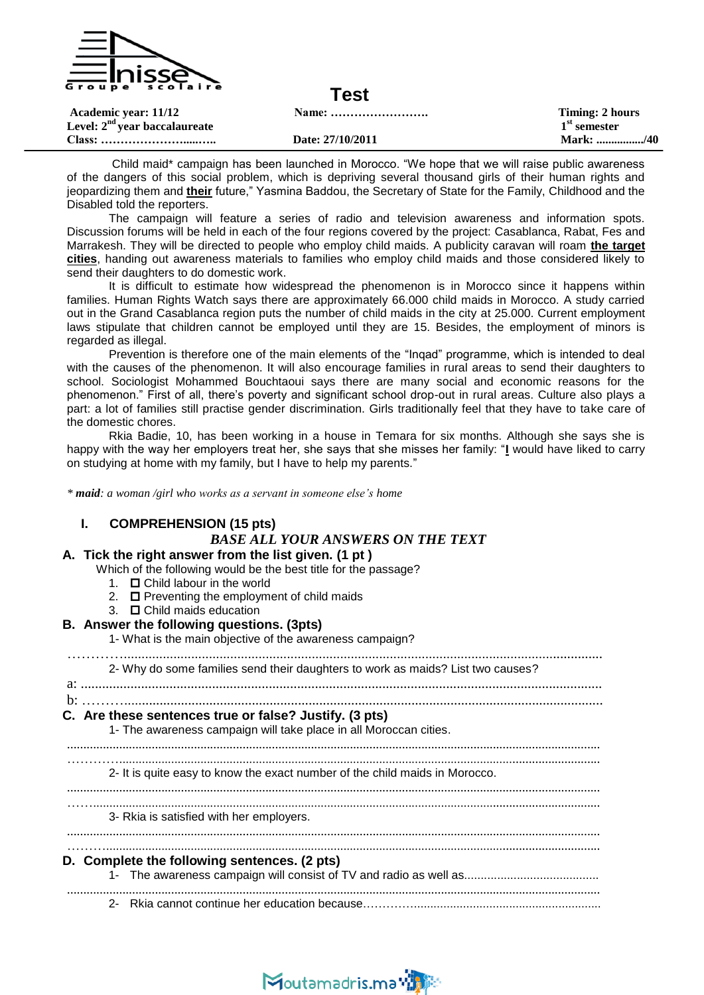

| Academic year: 11/12<br>Level: $2nd$ year baccalaureate |                  | Timing: 2 hours<br>$1st$ semester |
|---------------------------------------------------------|------------------|-----------------------------------|
|                                                         | Date: 27/10/2011 | Mark: /40                         |

Child maid\* campaign has been launched in Morocco. "We hope that we will raise public awareness of the dangers of this social problem, which is depriving several thousand girls of their human rights and jeopardizing them and **their** future," Yasmina Baddou, the Secretary of State for the Family, Childhood and the Disabled told the reporters.

The campaign will feature a series of radio and television awareness and information spots. Discussion forums will be held in each of the four regions covered by the project: Casablanca, Rabat, Fes and Marrakesh. They will be directed to people who employ child maids. A publicity caravan will roam **the target cities**, handing out awareness materials to families who employ child maids and those considered likely to send their daughters to do domestic work.

It is difficult to estimate how widespread the phenomenon is in Morocco since it happens within families. Human Rights Watch says there are approximately 66.000 child maids in Morocco. A study carried out in the Grand Casablanca region puts the number of child maids in the city at 25.000. Current employment laws stipulate that children cannot be employed until they are 15. Besides, the employment of minors is regarded as illegal.

Prevention is therefore one of the main elements of the "Inqad" programme, which is intended to deal with the causes of the phenomenon. It will also encourage families in rural areas to send their daughters to school. Sociologist Mohammed Bouchtaoui says there are many social and economic reasons for the phenomenon." First of all, there"s poverty and significant school drop-out in rural areas. Culture also plays a part: a lot of families still practise gender discrimination. Girls traditionally feel that they have to take care of the domestic chores.

Rkia Badie, 10, has been working in a house in Temara for six months. Although she says she is happy with the way her employers treat her, she says that she misses her family: "**I** would have liked to carry on studying at home with my family, but I have to help my parents."

*\* maid: a woman /girl who works as a servant in someone else's home*

|  | <b>COMPREHENSION (15 pts)</b><br><b>BASE ALL YOUR ANSWERS ON THE TEXT</b><br>A. Tick the right answer from the list given. (1 pt)<br>Which of the following would be the best title for the passage?<br>1. $\Box$ Child labour in the world<br>2. <b>O</b> Preventing the employment of child maids<br>3. $\Box$ Child maids education<br>B. Answer the following questions. (3pts)<br>1- What is the main objective of the awareness campaign? |
|--|-------------------------------------------------------------------------------------------------------------------------------------------------------------------------------------------------------------------------------------------------------------------------------------------------------------------------------------------------------------------------------------------------------------------------------------------------|
|  | 2- Why do some families send their daughters to work as maids? List two causes?                                                                                                                                                                                                                                                                                                                                                                 |
|  | $\mathbf{b}$ : $\ldots$<br>C. Are these sentences true or false? Justify. (3 pts)<br>1- The awareness campaign will take place in all Moroccan cities.                                                                                                                                                                                                                                                                                          |
|  | 2- It is quite easy to know the exact number of the child maids in Morocco.                                                                                                                                                                                                                                                                                                                                                                     |
|  | 3- Rkia is satisfied with her employers.                                                                                                                                                                                                                                                                                                                                                                                                        |
|  | D. Complete the following sentences. (2 pts)                                                                                                                                                                                                                                                                                                                                                                                                    |
|  | $2 -$                                                                                                                                                                                                                                                                                                                                                                                                                                           |